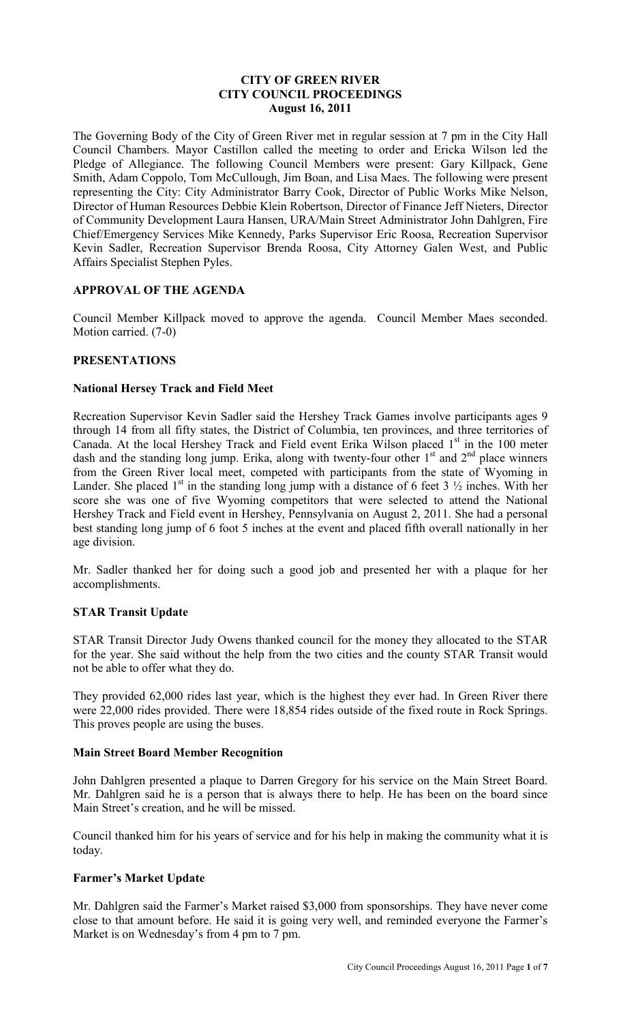## **CITY OF GREEN RIVER CITY COUNCIL PROCEEDINGS August 16, 2011**

The Governing Body of the City of Green River met in regular session at 7 pm in the City Hall Council Chambers. Mayor Castillon called the meeting to order and Ericka Wilson led the Pledge of Allegiance. The following Council Members were present: Gary Killpack, Gene Smith, Adam Coppolo, Tom McCullough, Jim Boan, and Lisa Maes. The following were present representing the City: City Administrator Barry Cook, Director of Public Works Mike Nelson, Director of Human Resources Debbie Klein Robertson, Director of Finance Jeff Nieters, Director of Community Development Laura Hansen, URA/Main Street Administrator John Dahlgren, Fire Chief/Emergency Services Mike Kennedy, Parks Supervisor Eric Roosa, Recreation Supervisor Kevin Sadler, Recreation Supervisor Brenda Roosa, City Attorney Galen West, and Public Affairs Specialist Stephen Pyles.

## **APPROVAL OF THE AGENDA**

Council Member Killpack moved to approve the agenda. Council Member Maes seconded. Motion carried. (7-0)

## **PRESENTATIONS**

## **National Hersey Track and Field Meet**

Recreation Supervisor Kevin Sadler said the Hershey Track Games involve participants ages 9 through 14 from all fifty states, the District of Columbia, ten provinces, and three territories of Canada. At the local Hershey Track and Field event Erika Wilson placed 1<sup>st</sup> in the 100 meter dash and the standing long jump. Erika, along with twenty-four other 1<sup>st</sup> and 2<sup>nd</sup> place winners from the Green River local meet, competed with participants from the state of Wyoming in Lander. She placed 1<sup>st</sup> in the standing long jump with a distance of 6 feet 3  $\frac{1}{2}$  inches. With her score she was one of five Wyoming competitors that were selected to attend the National Hershey Track and Field event in Hershey, Pennsylvania on August 2, 2011. She had a personal best standing long jump of 6 foot 5 inches at the event and placed fifth overall nationally in her age division.

Mr. Sadler thanked her for doing such a good job and presented her with a plaque for her accomplishments.

## **STAR Transit Update**

STAR Transit Director Judy Owens thanked council for the money they allocated to the STAR for the year. She said without the help from the two cities and the county STAR Transit would not be able to offer what they do.

They provided 62,000 rides last year, which is the highest they ever had. In Green River there were 22,000 rides provided. There were 18,854 rides outside of the fixed route in Rock Springs. This proves people are using the buses.

## **Main Street Board Member Recognition**

John Dahlgren presented a plaque to Darren Gregory for his service on the Main Street Board. Mr. Dahlgren said he is a person that is always there to help. He has been on the board since Main Street's creation, and he will be missed.

Council thanked him for his years of service and for his help in making the community what it is today.

## **Farmer's Market Update**

Mr. Dahlgren said the Farmer's Market raised \$3,000 from sponsorships. They have never come close to that amount before. He said it is going very well, and reminded everyone the Farmer's Market is on Wednesday's from 4 pm to 7 pm.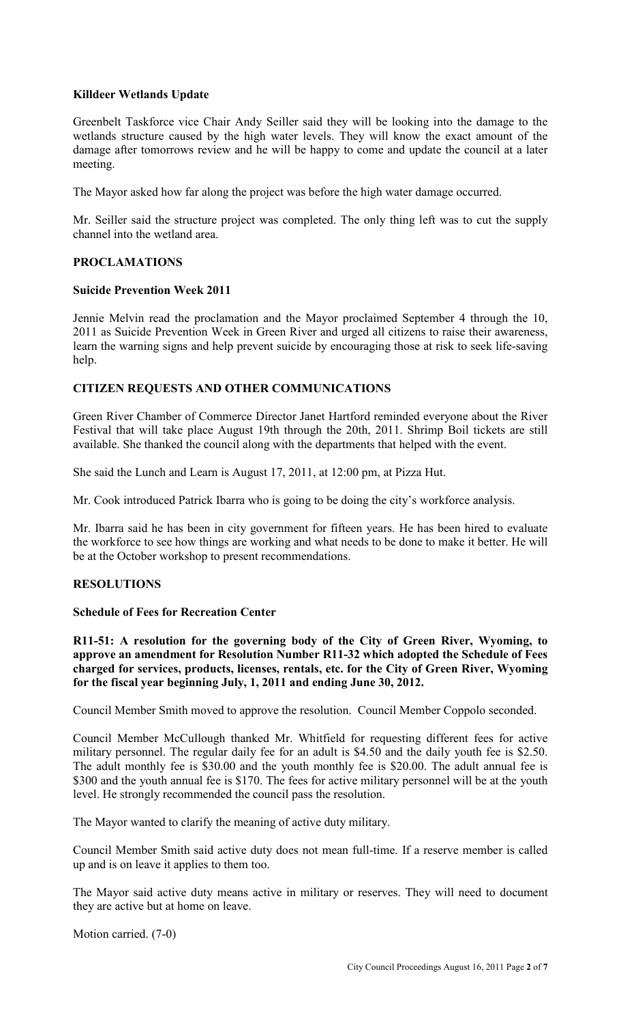# **Killdeer Wetlands Update**

Greenbelt Taskforce vice Chair Andy Seiller said they will be looking into the damage to the wetlands structure caused by the high water levels. They will know the exact amount of the damage after tomorrows review and he will be happy to come and update the council at a later meeting.

The Mayor asked how far along the project was before the high water damage occurred.

Mr. Seiller said the structure project was completed. The only thing left was to cut the supply channel into the wetland area.

## **PROCLAMATIONS**

### **Suicide Prevention Week 2011**

Jennie Melvin read the proclamation and the Mayor proclaimed September 4 through the 10, 2011 as Suicide Prevention Week in Green River and urged all citizens to raise their awareness, learn the warning signs and help prevent suicide by encouraging those at risk to seek life-saving help.

## **CITIZEN REQUESTS AND OTHER COMMUNICATIONS**

Green River Chamber of Commerce Director Janet Hartford reminded everyone about the River Festival that will take place August 19th through the 20th, 2011. Shrimp Boil tickets are still available. She thanked the council along with the departments that helped with the event.

She said the Lunch and Learn is August 17, 2011, at 12:00 pm, at Pizza Hut.

Mr. Cook introduced Patrick Ibarra who is going to be doing the city's workforce analysis.

Mr. Ibarra said he has been in city government for fifteen years. He has been hired to evaluate the workforce to see how things are working and what needs to be done to make it better. He will be at the October workshop to present recommendations.

## **RESOLUTIONS**

## **Schedule of Fees for Recreation Center**

**R11-51: A resolution for the governing body of the City of Green River, Wyoming, to approve an amendment for Resolution Number R11-32 which adopted the Schedule of Fees charged for services, products, licenses, rentals, etc. for the City of Green River, Wyoming for the fiscal year beginning July, 1, 2011 and ending June 30, 2012.** 

Council Member Smith moved to approve the resolution. Council Member Coppolo seconded.

Council Member McCullough thanked Mr. Whitfield for requesting different fees for active military personnel. The regular daily fee for an adult is \$4.50 and the daily youth fee is \$2.50. The adult monthly fee is \$30.00 and the youth monthly fee is \$20.00. The adult annual fee is \$300 and the youth annual fee is \$170. The fees for active military personnel will be at the youth level. He strongly recommended the council pass the resolution.

The Mayor wanted to clarify the meaning of active duty military.

Council Member Smith said active duty does not mean full-time. If a reserve member is called up and is on leave it applies to them too.

The Mayor said active duty means active in military or reserves. They will need to document they are active but at home on leave.

Motion carried. (7-0)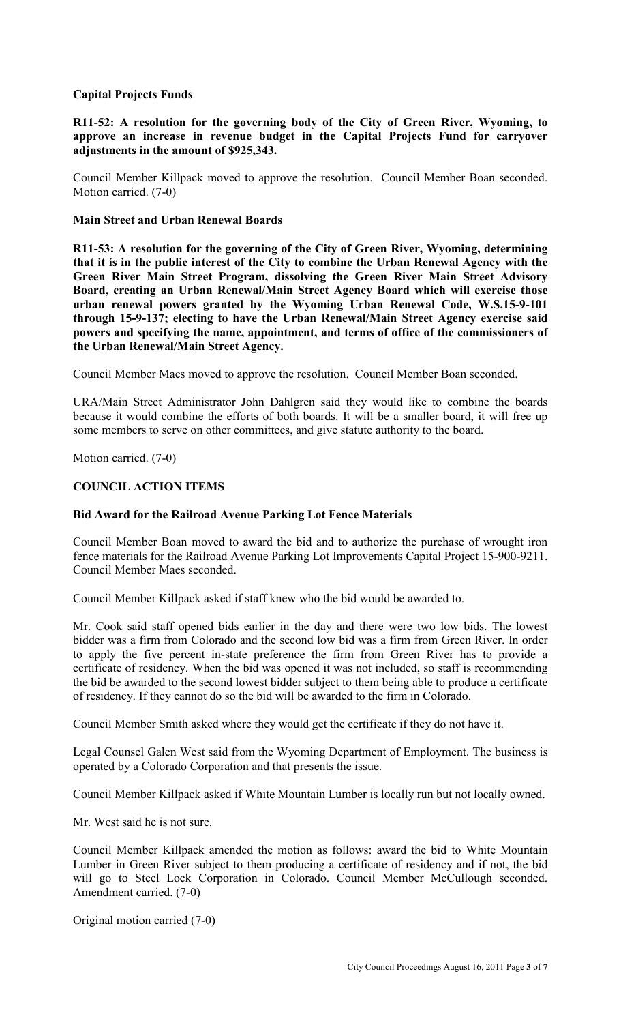# **Capital Projects Funds**

**R11-52: A resolution for the governing body of the City of Green River, Wyoming, to approve an increase in revenue budget in the Capital Projects Fund for carryover adjustments in the amount of \$925,343.** 

Council Member Killpack moved to approve the resolution. Council Member Boan seconded. Motion carried. (7-0)

### **Main Street and Urban Renewal Boards**

**R11-53: A resolution for the governing of the City of Green River, Wyoming, determining that it is in the public interest of the City to combine the Urban Renewal Agency with the Green River Main Street Program, dissolving the Green River Main Street Advisory Board, creating an Urban Renewal/Main Street Agency Board which will exercise those urban renewal powers granted by the Wyoming Urban Renewal Code, W.S.15-9-101 through 15-9-137; electing to have the Urban Renewal/Main Street Agency exercise said powers and specifying the name, appointment, and terms of office of the commissioners of the Urban Renewal/Main Street Agency.** 

Council Member Maes moved to approve the resolution. Council Member Boan seconded.

URA/Main Street Administrator John Dahlgren said they would like to combine the boards because it would combine the efforts of both boards. It will be a smaller board, it will free up some members to serve on other committees, and give statute authority to the board.

Motion carried. (7-0)

## **COUNCIL ACTION ITEMS**

#### **Bid Award for the Railroad Avenue Parking Lot Fence Materials**

Council Member Boan moved to award the bid and to authorize the purchase of wrought iron fence materials for the Railroad Avenue Parking Lot Improvements Capital Project 15-900-9211. Council Member Maes seconded.

Council Member Killpack asked if staff knew who the bid would be awarded to.

Mr. Cook said staff opened bids earlier in the day and there were two low bids. The lowest bidder was a firm from Colorado and the second low bid was a firm from Green River. In order to apply the five percent in-state preference the firm from Green River has to provide a certificate of residency. When the bid was opened it was not included, so staff is recommending the bid be awarded to the second lowest bidder subject to them being able to produce a certificate of residency. If they cannot do so the bid will be awarded to the firm in Colorado.

Council Member Smith asked where they would get the certificate if they do not have it.

Legal Counsel Galen West said from the Wyoming Department of Employment. The business is operated by a Colorado Corporation and that presents the issue.

Council Member Killpack asked if White Mountain Lumber is locally run but not locally owned.

Mr. West said he is not sure.

Council Member Killpack amended the motion as follows: award the bid to White Mountain Lumber in Green River subject to them producing a certificate of residency and if not, the bid will go to Steel Lock Corporation in Colorado. Council Member McCullough seconded. Amendment carried. (7-0)

Original motion carried (7-0)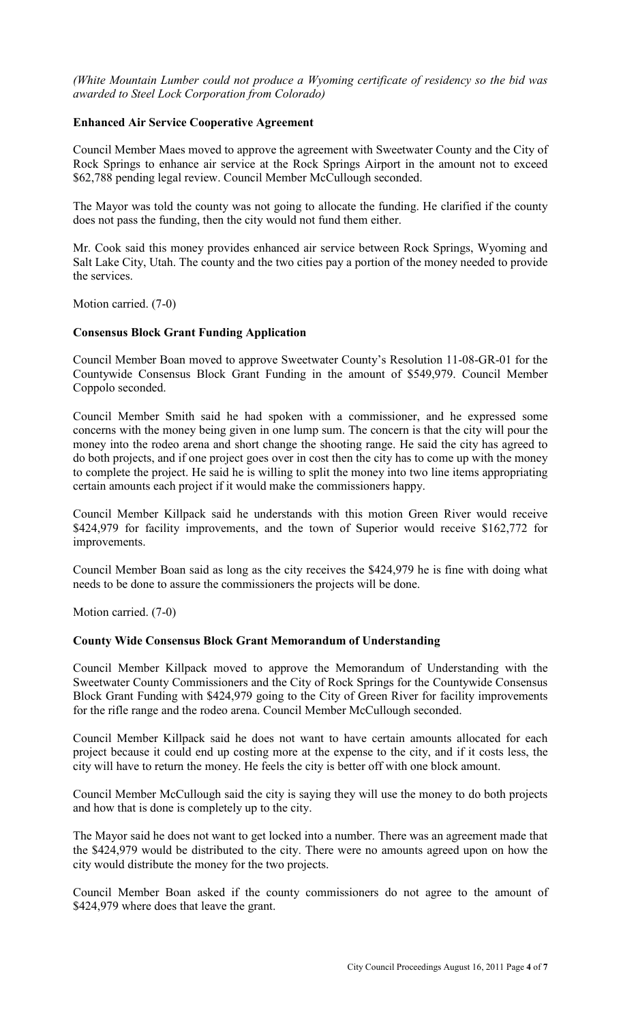*(White Mountain Lumber could not produce a Wyoming certificate of residency so the bid was awarded to Steel Lock Corporation from Colorado)* 

### **Enhanced Air Service Cooperative Agreement**

Council Member Maes moved to approve the agreement with Sweetwater County and the City of Rock Springs to enhance air service at the Rock Springs Airport in the amount not to exceed \$62,788 pending legal review. Council Member McCullough seconded.

The Mayor was told the county was not going to allocate the funding. He clarified if the county does not pass the funding, then the city would not fund them either.

Mr. Cook said this money provides enhanced air service between Rock Springs, Wyoming and Salt Lake City, Utah. The county and the two cities pay a portion of the money needed to provide the services.

Motion carried. (7-0)

## **Consensus Block Grant Funding Application**

Council Member Boan moved to approve Sweetwater County's Resolution 11-08-GR-01 for the Countywide Consensus Block Grant Funding in the amount of \$549,979. Council Member Coppolo seconded.

Council Member Smith said he had spoken with a commissioner, and he expressed some concerns with the money being given in one lump sum. The concern is that the city will pour the money into the rodeo arena and short change the shooting range. He said the city has agreed to do both projects, and if one project goes over in cost then the city has to come up with the money to complete the project. He said he is willing to split the money into two line items appropriating certain amounts each project if it would make the commissioners happy.

Council Member Killpack said he understands with this motion Green River would receive \$424,979 for facility improvements, and the town of Superior would receive \$162,772 for improvements.

Council Member Boan said as long as the city receives the \$424,979 he is fine with doing what needs to be done to assure the commissioners the projects will be done.

Motion carried. (7-0)

#### **County Wide Consensus Block Grant Memorandum of Understanding**

Council Member Killpack moved to approve the Memorandum of Understanding with the Sweetwater County Commissioners and the City of Rock Springs for the Countywide Consensus Block Grant Funding with \$424,979 going to the City of Green River for facility improvements for the rifle range and the rodeo arena. Council Member McCullough seconded.

Council Member Killpack said he does not want to have certain amounts allocated for each project because it could end up costing more at the expense to the city, and if it costs less, the city will have to return the money. He feels the city is better off with one block amount.

Council Member McCullough said the city is saying they will use the money to do both projects and how that is done is completely up to the city.

The Mayor said he does not want to get locked into a number. There was an agreement made that the \$424,979 would be distributed to the city. There were no amounts agreed upon on how the city would distribute the money for the two projects.

Council Member Boan asked if the county commissioners do not agree to the amount of \$424,979 where does that leave the grant.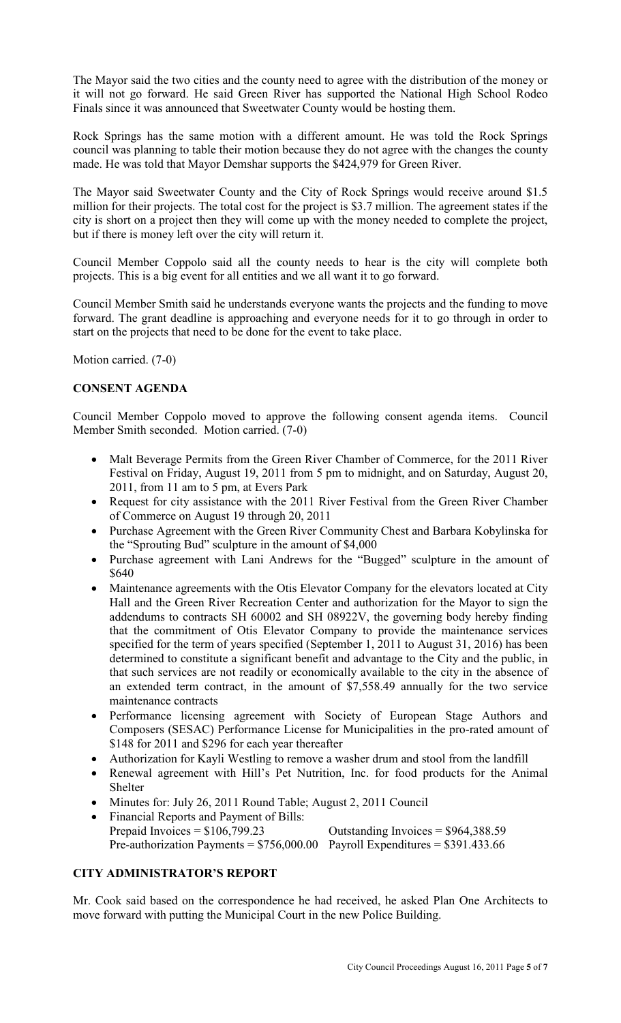The Mayor said the two cities and the county need to agree with the distribution of the money or it will not go forward. He said Green River has supported the National High School Rodeo Finals since it was announced that Sweetwater County would be hosting them.

Rock Springs has the same motion with a different amount. He was told the Rock Springs council was planning to table their motion because they do not agree with the changes the county made. He was told that Mayor Demshar supports the \$424,979 for Green River.

The Mayor said Sweetwater County and the City of Rock Springs would receive around \$1.5 million for their projects. The total cost for the project is \$3.7 million. The agreement states if the city is short on a project then they will come up with the money needed to complete the project, but if there is money left over the city will return it.

Council Member Coppolo said all the county needs to hear is the city will complete both projects. This is a big event for all entities and we all want it to go forward.

Council Member Smith said he understands everyone wants the projects and the funding to move forward. The grant deadline is approaching and everyone needs for it to go through in order to start on the projects that need to be done for the event to take place.

Motion carried. (7-0)

# **CONSENT AGENDA**

Council Member Coppolo moved to approve the following consent agenda items. Council Member Smith seconded. Motion carried. (7-0)

- Malt Beverage Permits from the Green River Chamber of Commerce, for the 2011 River Festival on Friday, August 19, 2011 from 5 pm to midnight, and on Saturday, August 20, 2011, from 11 am to 5 pm, at Evers Park
- Request for city assistance with the 2011 River Festival from the Green River Chamber of Commerce on August 19 through 20, 2011
- Purchase Agreement with the Green River Community Chest and Barbara Kobylinska for the "Sprouting Bud" sculpture in the amount of \$4,000
- Purchase agreement with Lani Andrews for the "Bugged" sculpture in the amount of \$640
- Maintenance agreements with the Otis Elevator Company for the elevators located at City Hall and the Green River Recreation Center and authorization for the Mayor to sign the addendums to contracts SH 60002 and SH 08922V, the governing body hereby finding that the commitment of Otis Elevator Company to provide the maintenance services specified for the term of years specified (September 1, 2011 to August 31, 2016) has been determined to constitute a significant benefit and advantage to the City and the public, in that such services are not readily or economically available to the city in the absence of an extended term contract, in the amount of \$7,558.49 annually for the two service maintenance contracts
- Performance licensing agreement with Society of European Stage Authors and Composers (SESAC) Performance License for Municipalities in the pro-rated amount of \$148 for 2011 and \$296 for each year thereafter
- Authorization for Kayli Westling to remove a washer drum and stool from the landfill
- Renewal agreement with Hill's Pet Nutrition, Inc. for food products for the Animal Shelter
- Minutes for: July 26, 2011 Round Table; August 2, 2011 Council
- Financial Reports and Payment of Bills: Prepaid Invoices  $= $106,799.23$  Outstanding Invoices  $= $964,388.59$ Pre-authorization Payments =  $$756,000.00$  Payroll Expenditures =  $$391.433.66$

## **CITY ADMINISTRATOR'S REPORT**

Mr. Cook said based on the correspondence he had received, he asked Plan One Architects to move forward with putting the Municipal Court in the new Police Building.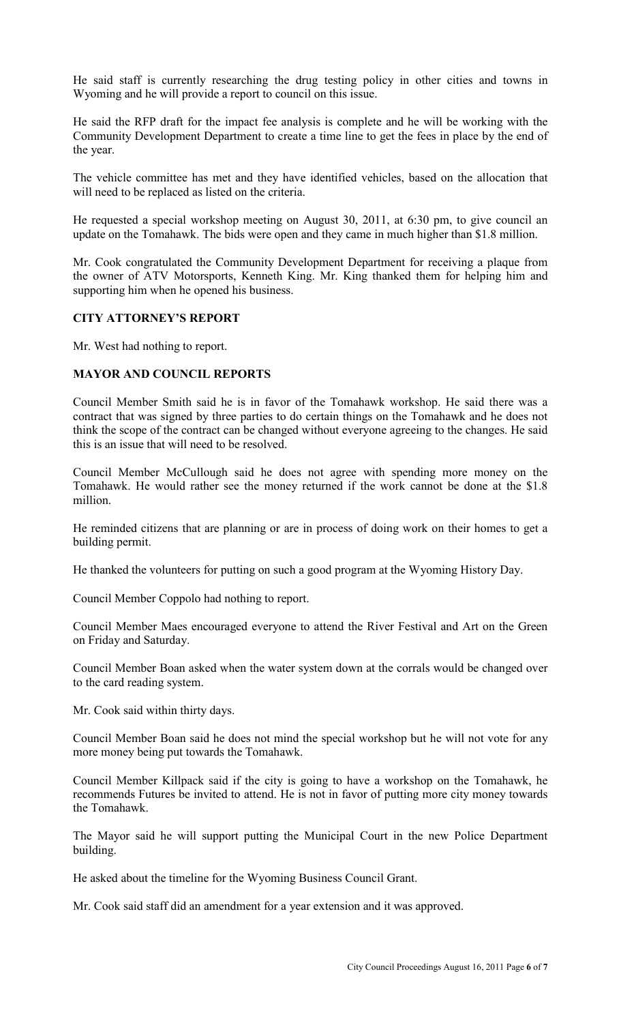He said staff is currently researching the drug testing policy in other cities and towns in Wyoming and he will provide a report to council on this issue.

He said the RFP draft for the impact fee analysis is complete and he will be working with the Community Development Department to create a time line to get the fees in place by the end of the year.

The vehicle committee has met and they have identified vehicles, based on the allocation that will need to be replaced as listed on the criteria.

He requested a special workshop meeting on August 30, 2011, at 6:30 pm, to give council an update on the Tomahawk. The bids were open and they came in much higher than \$1.8 million.

Mr. Cook congratulated the Community Development Department for receiving a plaque from the owner of ATV Motorsports, Kenneth King. Mr. King thanked them for helping him and supporting him when he opened his business.

### **CITY ATTORNEY'S REPORT**

Mr. West had nothing to report.

### **MAYOR AND COUNCIL REPORTS**

Council Member Smith said he is in favor of the Tomahawk workshop. He said there was a contract that was signed by three parties to do certain things on the Tomahawk and he does not think the scope of the contract can be changed without everyone agreeing to the changes. He said this is an issue that will need to be resolved.

Council Member McCullough said he does not agree with spending more money on the Tomahawk. He would rather see the money returned if the work cannot be done at the \$1.8 million.

He reminded citizens that are planning or are in process of doing work on their homes to get a building permit.

He thanked the volunteers for putting on such a good program at the Wyoming History Day.

Council Member Coppolo had nothing to report.

Council Member Maes encouraged everyone to attend the River Festival and Art on the Green on Friday and Saturday.

Council Member Boan asked when the water system down at the corrals would be changed over to the card reading system.

Mr. Cook said within thirty days.

Council Member Boan said he does not mind the special workshop but he will not vote for any more money being put towards the Tomahawk.

Council Member Killpack said if the city is going to have a workshop on the Tomahawk, he recommends Futures be invited to attend. He is not in favor of putting more city money towards the Tomahawk.

The Mayor said he will support putting the Municipal Court in the new Police Department building.

He asked about the timeline for the Wyoming Business Council Grant.

Mr. Cook said staff did an amendment for a year extension and it was approved.